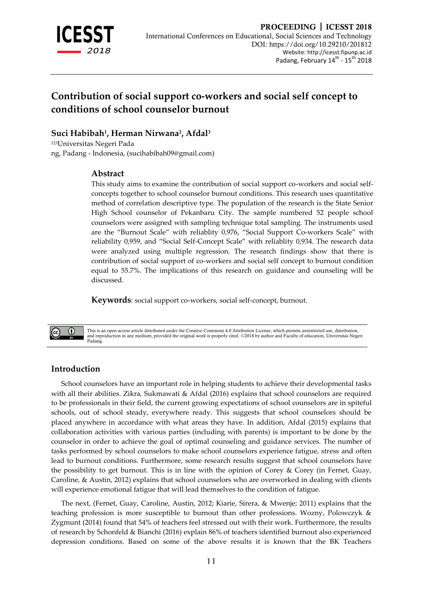

# **Contribution of social support co-workers and social self concept to conditions of school counselor burnout**

## **Suci Habibah<sup>1</sup> , Herman Nirwana<sup>2</sup> , Afdal<sup>3</sup>**

<sup>123</sup>Universitas Negeri Pada ng, Padang - Indonesia, (sucihabibah09@gmail.com)

## **Abstract**

This study aims to examine the contribution of social support co-workers and social selfconcepts together to school counselor burnout conditions. This research uses quantitative method of correlation descriptive type. The population of the research is the State Senior High School counselor of Pekanbaru City. The sample numbered 52 people school counselors were assigned with sampling technique total sampling. The instruments used are the "Burnout Scale" with reliablity 0,976, "Social Support Co-workers Scale" with reliability 0,959, and "Social Self-Concept Scale" with reliablity 0,934. The research data were analyzed using multiple regression. The research findings show that there is contribution of social support of co-workers and social self concept to burnout condition equal to 55.7%. The implications of this research on guidance and counseling will be discussed.

**Keywords**: social support co-workers, social self-concept, burnout.

This is an open access article distributed under the Creative Commons 4.0 Attribution License, which permits unrestricted use, distribution, and reproduction in any medium, provided the original work is properly cited. ©2018 by author and Faculty of education, Universitas Negeri Padang.

## **Introduction**

 $\bigcirc$ 

School counselors have an important role in helping students to achieve their developmental tasks with all their abilities. Zikra, Sukmawati & Afdal (2016) explains that school counselors are required to be professionals in their field, the current growing expectations of school counselors are in spiteful schools, out of school steady, everywhere ready. This suggests that school counselors should be placed anywhere in accordance with what areas they have. In addition, Afdal (2015) explains that collaboration activities with various parties (including with parents) is important to be done by the counselor in order to achieve the goal of optimal counseling and guidance services. The number of tasks performed by school counselors to make school counselors experience fatigue, stress and often lead to burnout conditions. Furthermore, some research results suggest that school counselors have the possibility to get burnout. This is in line with the opinion of Corey & Corey (in Fernet, Guay, Caroline, & Austin, 2012) explains that school counselors who are overworked in dealing with clients will experience emotional fatigue that will lead themselves to the condition of fatigue.

The next, (Fernet, Guay, Caroline, Austin, 2012; Kiarie, Sirera, & Mwenje; 2011) explains that the teaching profession is more susceptible to burnout than other professions. Wozny, Polowczyk & Zygmunt (2014) found that 54% of teachers feel stressed out with their work. Furthermore, the results of research by Schonfeld & Bianchi (2016) explain 86% of teachers identified burnout also experienced depression conditions. Based on some of the above results it is known that the BK Teachers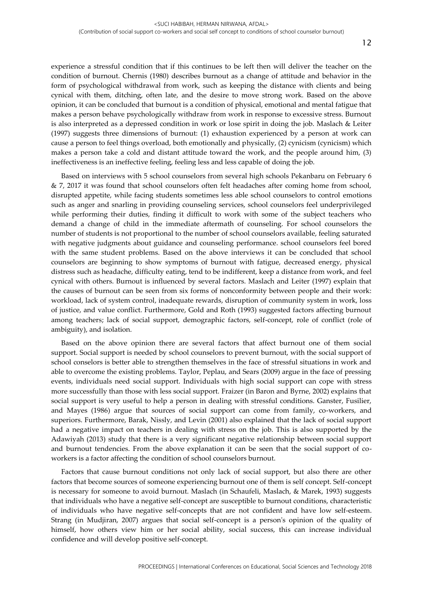experience a stressful condition that if this continues to be left then will deliver the teacher on the condition of burnout. Chernis (1980) describes burnout as a change of attitude and behavior in the form of psychological withdrawal from work, such as keeping the distance with clients and being cynical with them, ditching, often late, and the desire to move strong work. Based on the above opinion, it can be concluded that burnout is a condition of physical, emotional and mental fatigue that makes a person behave psychologically withdraw from work in response to excessive stress. Burnout is also interpreted as a depressed condition in work or lose spirit in doing the job. Maslach & Leiter (1997) suggests three dimensions of burnout: (1) exhaustion experienced by a person at work can cause a person to feel things overload, both emotionally and physically, (2) cynicism (cynicism) which makes a person take a cold and distant attitude toward the work, and the people around him, (3) ineffectiveness is an ineffective feeling, feeling less and less capable of doing the job.

Based on interviews with 5 school counselors from several high schools Pekanbaru on February 6 & 7, 2017 it was found that school counselors often felt headaches after coming home from school, disrupted appetite, while facing students sometimes less able school counselors to control emotions such as anger and snarling in providing counseling services, school counselors feel underprivileged while performing their duties, finding it difficult to work with some of the subject teachers who demand a change of child in the immediate aftermath of counseling. For school counselors the number of students is not proportional to the number of school counselors available, feeling saturated with negative judgments about guidance and counseling performance. school counselors feel bored with the same student problems. Based on the above interviews it can be concluded that school counselors are beginning to show symptoms of burnout with fatigue, decreased energy, physical distress such as headache, difficulty eating, tend to be indifferent, keep a distance from work, and feel cynical with others. Burnout is influenced by several factors. Maslach and Leiter (1997) explain that the causes of burnout can be seen from six forms of nonconformity between people and their work: workload, lack of system control, inadequate rewards, disruption of community system in work, loss of justice, and value conflict. Furthermore, Gold and Roth (1993) suggested factors affecting burnout among teachers; lack of social support, demographic factors, self-concept, role of conflict (role of ambiguity), and isolation.

Based on the above opinion there are several factors that affect burnout one of them social support. Social support is needed by school counselors to prevent burnout, with the social support of school conselors is better able to strengthen themselves in the face of stressful situations in work and able to overcome the existing problems. Taylor, Peplau, and Sears (2009) argue in the face of pressing events, individuals need social support. Individuals with high social support can cope with stress more successfully than those with less social support. Fraizer (in Baron and Byrne, 2002) explains that social support is very useful to help a person in dealing with stressful conditions. Ganster, Fusilier, and Mayes (1986) argue that sources of social support can come from family, co-workers, and superiors. Furthermore, Barak, Nissly, and Levin (2001) also explained that the lack of social support had a negative impact on teachers in dealing with stress on the job. This is also supported by the Adawiyah (2013) study that there is a very significant negative relationship between social support and burnout tendencies. From the above explanation it can be seen that the social support of coworkers is a factor affecting the condition of school counselors burnout.

Factors that cause burnout conditions not only lack of social support, but also there are other factors that become sources of someone experiencing burnout one of them is self concept. Self-concept is necessary for someone to avoid burnout. Maslach (in Schaufeli, Maslach, & Marek, 1993) suggests that individuals who have a negative self-concept are susceptible to burnout conditions, characteristic of individuals who have negative self-concepts that are not confident and have low self-esteem. Strang (in Mudjiran, 2007) argues that social self-concept is a person's opinion of the quality of himself, how others view him or her social ability, social success, this can increase individual confidence and will develop positive self-concept.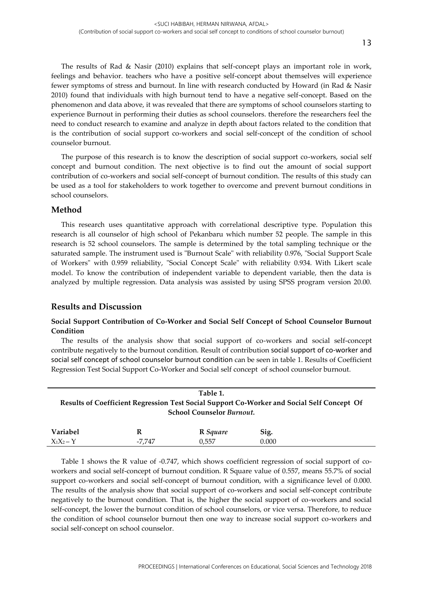The results of Rad & Nasir (2010) explains that self-concept plays an important role in work, feelings and behavior. teachers who have a positive self-concept about themselves will experience fewer symptoms of stress and burnout. In line with research conducted by Howard (in Rad & Nasir 2010) found that individuals with high burnout tend to have a negative self-concept. Based on the phenomenon and data above, it was revealed that there are symptoms of school counselors starting to experience Burnout in performing their duties as school counselors. therefore the researchers feel the need to conduct research to examine and analyze in depth about factors related to the condition that is the contribution of social support co-workers and social self-concept of the condition of school counselor burnout.

The purpose of this research is to know the description of social support co-workers, social self concept and burnout condition. The next objective is to find out the amount of social support contribution of co-workers and social self-concept of burnout condition. The results of this study can be used as a tool for stakeholders to work together to overcome and prevent burnout conditions in school counselors.

## **Method**

This research uses quantitative approach with correlational descriptive type. Population this research is all counselor of high school of Pekanbaru which number 52 people. The sample in this research is 52 school counselors. The sample is determined by the total sampling technique or the saturated sample. The instrument used is "Burnout Scale" with reliability 0.976, "Social Support Scale of Workers" with 0.959 reliability, "Social Concept Scale" with reliability 0.934. With Likert scale model. To know the contribution of independent variable to dependent variable, then the data is analyzed by multiple regression. Data analysis was assisted by using SPSS program version 20.00.

### **Results and Discussion**

### **Social Support Contribution of Co-Worker and Social Self Concept of School Counselor Burnout Condition**

The results of the analysis show that social support of co-workers and social self-concept contribute negatively to the burnout condition. Result of contribution social support of co-worker and social self concept of school counselor burnout condition can be seen in table 1. Results of Coefficient Regression Test Social Support Co-Worker and Social self concept of school counselor burnout.

| Table 1.                                                                                   |   |          |      |  |
|--------------------------------------------------------------------------------------------|---|----------|------|--|
| Results of Coefficient Regression Test Social Support Co-Worker and Social Self Concept Of |   |          |      |  |
| <b>School Counselor Burnout.</b>                                                           |   |          |      |  |
| <b>Variabel</b>                                                                            | R | R Sauare | Sig. |  |

 $X_1X_2 - Y$  -7,747 0,557 0.000

Table 1 shows the R value of -0.747, which shows coefficient regression of social support of coworkers and social self-concept of burnout condition. R Square value of 0.557, means 55.7% of social support co-workers and social self-concept of burnout condition, with a significance level of 0.000. The results of the analysis show that social support of co-workers and social self-concept contribute negatively to the burnout condition. That is, the higher the social support of co-workers and social self-concept, the lower the burnout condition of school counselors, or vice versa. Therefore, to reduce the condition of school counselor burnout then one way to increase social support co-workers and social self-concept on school counselor.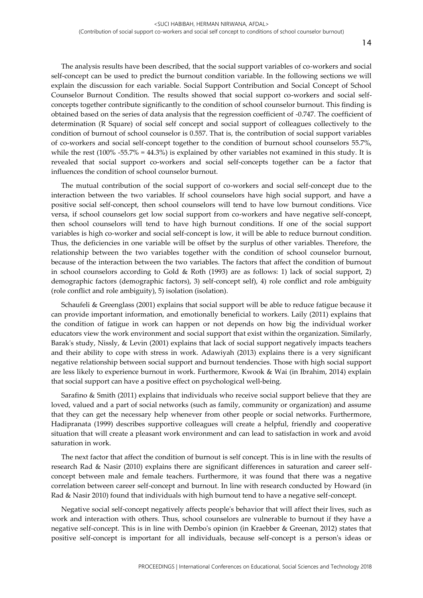The analysis results have been described, that the social support variables of co-workers and social self-concept can be used to predict the burnout condition variable. In the following sections we will explain the discussion for each variable. Social Support Contribution and Social Concept of School Counselor Burnout Condition. The results showed that social support co-workers and social selfconcepts together contribute significantly to the condition of school counselor burnout. This finding is obtained based on the series of data analysis that the regression coefficient of -0.747. The coefficient of determination (R Square) of social self concept and social support of colleagues collectively to the condition of burnout of school counselor is 0.557. That is, the contribution of social support variables of co-workers and social self-concept together to the condition of burnout school counselors 55.7%, while the rest (100% -55.7% = 44.3%) is explained by other variables not examined in this study. It is revealed that social support co-workers and social self-concepts together can be a factor that influences the condition of school counselor burnout.

The mutual contribution of the social support of co-workers and social self-concept due to the interaction between the two variables. If school counselors have high social support, and have a positive social self-concept, then school counselors will tend to have low burnout conditions. Vice versa, if school counselors get low social support from co-workers and have negative self-concept, then school counselors will tend to have high burnout conditions. If one of the social support variables is high co-worker and social self-concept is low, it will be able to reduce burnout condition. Thus, the deficiencies in one variable will be offset by the surplus of other variables. Therefore, the relationship between the two variables together with the condition of school counselor burnout, because of the interaction between the two variables. The factors that affect the condition of burnout in school counselors according to Gold & Roth (1993) are as follows: 1) lack of social support, 2) demographic factors (demographic factors), 3) self-concept self), 4) role conflict and role ambiguity (role conflict and role ambiguity), 5) isolation (isolation).

Schaufeli & Greenglass (2001) explains that social support will be able to reduce fatigue because it can provide important information, and emotionally beneficial to workers. Laily (2011) explains that the condition of fatigue in work can happen or not depends on how big the individual worker educators view the work environment and social support that exist within the organization. Similarly, Barak's study, Nissly, & Levin (2001) explains that lack of social support negatively impacts teachers and their ability to cope with stress in work. Adawiyah (2013) explains there is a very significant negative relationship between social support and burnout tendencies. Those with high social support are less likely to experience burnout in work. Furthermore, Kwook & Wai (in Ibrahim, 2014) explain that social support can have a positive effect on psychological well-being.

Sarafino & Smith (2011) explains that individuals who receive social support believe that they are loved, valued and a part of social networks (such as family, community or organization) and assume that they can get the necessary help whenever from other people or social networks. Furthermore, Hadipranata (1999) describes supportive colleagues will create a helpful, friendly and cooperative situation that will create a pleasant work environment and can lead to satisfaction in work and avoid saturation in work.

The next factor that affect the condition of burnout is self concept. This is in line with the results of research Rad & Nasir (2010) explains there are significant differences in saturation and career selfconcept between male and female teachers. Furthermore, it was found that there was a negative correlation between career self-concept and burnout. In line with research conducted by Howard (in Rad & Nasir 2010) found that individuals with high burnout tend to have a negative self-concept.

Negative social self-concept negatively affects people's behavior that will affect their lives, such as work and interaction with others. Thus, school counselors are vulnerable to burnout if they have a negative self-concept. This is in line with Dembo's opinion (in Kraebber & Greenan, 2012) states that positive self-concept is important for all individuals, because self-concept is a person's ideas or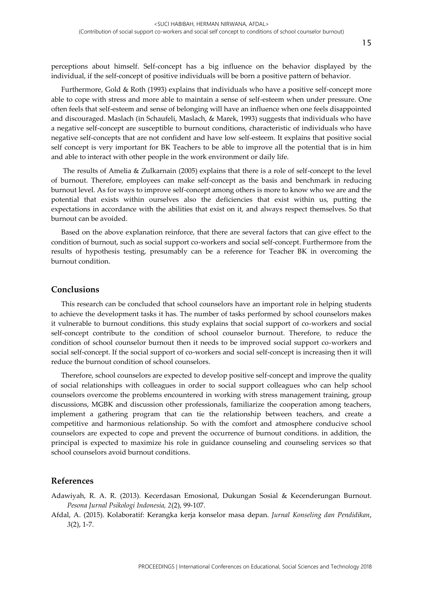perceptions about himself. Self-concept has a big influence on the behavior displayed by the individual, if the self-concept of positive individuals will be born a positive pattern of behavior.

Furthermore, Gold & Roth (1993) explains that individuals who have a positive self-concept more able to cope with stress and more able to maintain a sense of self-esteem when under pressure. One often feels that self-esteem and sense of belonging will have an influence when one feels disappointed and discouraged. Maslach (in Schaufeli, Maslach, & Marek, 1993) suggests that individuals who have a negative self-concept are susceptible to burnout conditions, characteristic of individuals who have negative self-concepts that are not confident and have low self-esteem. It explains that positive social self concept is very important for BK Teachers to be able to improve all the potential that is in him and able to interact with other people in the work environment or daily life.

The results of Amelia & Zulkarnain (2005) explains that there is a role of self-concept to the level of burnout. Therefore, employees can make self-concept as the basis and benchmark in reducing burnout level. As for ways to improve self-concept among others is more to know who we are and the potential that exists within ourselves also the deficiencies that exist within us, putting the expectations in accordance with the abilities that exist on it, and always respect themselves. So that burnout can be avoided.

Based on the above explanation reinforce, that there are several factors that can give effect to the condition of burnout, such as social support co-workers and social self-concept. Furthermore from the results of hypothesis testing, presumably can be a reference for Teacher BK in overcoming the burnout condition.

### **Conclusions**

This research can be concluded that school counselors have an important role in helping students to achieve the development tasks it has. The number of tasks performed by school counselors makes it vulnerable to burnout conditions. this study explains that social support of co-workers and social self-concept contribute to the condition of school counselor burnout. Therefore, to reduce the condition of school counselor burnout then it needs to be improved social support co-workers and social self-concept. If the social support of co-workers and social self-concept is increasing then it will reduce the burnout condition of school counselors.

Therefore, school counselors are expected to develop positive self-concept and improve the quality of social relationships with colleagues in order to social support colleagues who can help school counselors overcome the problems encountered in working with stress management training, group discussions, MGBK and discussion other professionals, familiarize the cooperation among teachers, implement a gathering program that can tie the relationship between teachers, and create a competitive and harmonious relationship. So with the comfort and atmosphere conducive school counselors are expected to cope and prevent the occurrence of burnout conditions. in addition, the principal is expected to maximize his role in guidance counseling and counseling services so that school counselors avoid burnout conditions.

#### **References**

Adawiyah, R. A. R. (2013). Kecerdasan Emosional, Dukungan Sosial & Kecenderungan Burnout*. Pesona Jurnal Psikologi Indonesia, 2*(2), 99-107.

Afdal, A. (2015). Kolaboratif: Kerangka kerja konselor masa depan. *Jurnal Konseling dan Pendidikan*, *3*(2), 1-7.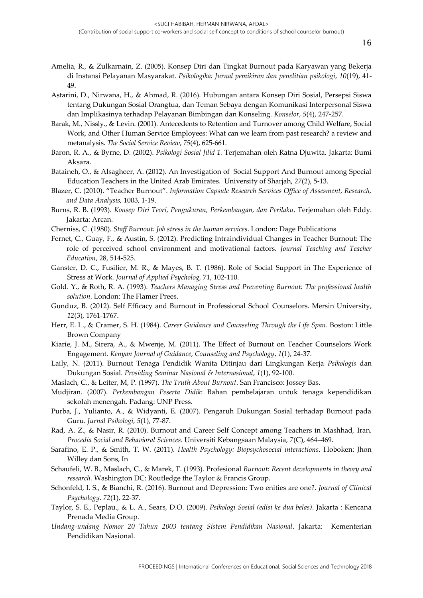- Amelia, R., & Zulkarnain, Z. (2005). Konsep Diri dan Tingkat Burnout pada Karyawan yang Bekerja di Instansi Pelayanan Masyarakat. *Psikologika: Jurnal pemikiran dan penelitian psikologi*, *10*(19), 41- 49.
- Astarini, D., Nirwana, H., & Ahmad, R. (2016). Hubungan antara Konsep Diri Sosial, Persepsi Siswa tentang Dukungan Sosial Orangtua, dan Teman Sebaya dengan Komunikasi Interpersonal Siswa dan Implikasinya terhadap Pelayanan Bimbingan dan Konseling. *Konselor*, *5*(4), 247-257.
- Barak, M., Nissly., & Levin. (2001). Antecedents to Retention and Turnover among Child Welfare, Social Work, and Other Human Service Employees: What can we learn from past research? a review and metanalysis. *The Social Service Review*, *75*(4), 625-661.
- Baron, R. A., & Byrne, D. (2002). *Psikologi Sosial Jilid 1.* Terjemahan oleh Ratna Djuwita. Jakarta: Bumi Aksara.
- Bataineh, O., & Alsagheer, A. (2012). An Investigation of Social Support And Burnout among Special Education Teachers in the United Arab Emirates. University of Sharjah, *27*(2), 5-13.
- Blazer, C. (2010). "Teacher Burnout". *Information Capsule Research Services Office of Assesment, Research, and Data Analysis,* 1003, 1-19.
- Burns, R. B. (1993). *Konsep Diri Teori, Pengukuran, Perkembangan, dan Perilaku*. Terjemahan oleh Eddy. Jakarta: Arcan.
- Cherniss, C. (1980). *Staff Burnout: Job stress in the human services*. London: Dage Publications
- Fernet, C., Guay, F., & Austin, S. (2012). Predicting Intraindividual Changes in Teacher Burnout: The role of perceived school environment and motivational factors. *Journal Teaching and Teacher Education*, 28, 514-525.
- Ganster, D. C., Fusilier, M. R., & Mayes, B. T. (1986). Role of Social Support in The Experience of Stress at Work*. Journal of Applied Psycholog,* 71, 102*-*110.
- Gold. Y., & Roth, R. A. (1993). *Teachers Managing Stress and Preventing Burnout: The professional health solution*. London: The Flamer Prees.
- Gunduz, B. (2012). Self Efficacy and Burnout in Professional School Counselors. Mersin University, *12*(3), 1761-1767.
- Herr, E. L., & Cramer, S. H. (1984). *Career Guidance and Counseling Through the Life Span*. Boston: Little Brown Company
- Kiarie, J. M., Sirera, A., & Mwenje, M. (2011). The Effect of Burnout on Teacher Counselors Work Engagement. *Kenyan Journal of Guidance, Counseling and Psychology*, *1*(1), 24-37.
- Laily, N. (2011). Burnout Tenaga Pendidik Wanita Ditinjau dari Lingkungan Kerja *Psikologis* dan Dukungan Sosial. *Prosiding Seminar Nasional & Internasional*, *1*(1), 92-100.
- Maslach, C., & Leiter, M, P. (1997). *The Truth About Burnout*. San Francisco: Jossey Bas.
- Mudjiran. (2007). *Perkembangan Peserta Didik*: Bahan pembelajaran untuk tenaga kependidikan sekolah menengah. Padang: UNP Press.
- Purba, J., Yulianto, A., & Widyanti, E. (2007). Pengaruh Dukungan Sosial terhadap Burnout pada Guru. *Jurnal Psikologi, 5*(1), 77-87.
- Rad, A. Z., & Nasir, R. (2010). Burnout and Career Self Concept among Teachers in Mashhad, Iran*. Procedia Social and Behavioral Sciences*. Universiti Kebangsaan Malaysia, *7*(C), 464–469.
- Sarafino, E. P., & Smith, T. W. (2011). *Health Psychology: Biopsychosocial interactions*. Hoboken: Jhon Willey dan Sons, In
- Schaufeli, W. B., Maslach, C., & Marek, T. (1993). Profesional *Burnout*: *Recent developments in theory and research.* Washington DC: Routledge the Taylor & Francis Group.
- Schonfeld, I. S., & Bianchi, R. (2016). Burnout and Depression: Two enities are one?. *Journal of Clinical Psychology*. *72*(1), 22-37.
- Taylor, S. E., Peplau., & L. A., Sears, D.O. (2009). *Psikologi Sosial (edisi ke dua belas)*. Jakarta : Kencana Prenada Media Group.
- *Undang-undang Nomor 20 Tahun 2003 tentang Sistem Pendidikan Nasional*. Jakarta: Kementerian Pendidikan Nasional.